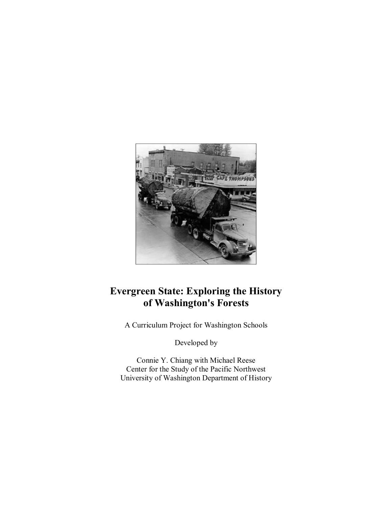

# **Evergreen State: Exploring the History of Washington's Forests**

A Curriculum Project for Washington Schools

Developed by

Connie Y. Chiang with Michael Reese Center for the Study of the Pacific Northwest University of Washington Department of History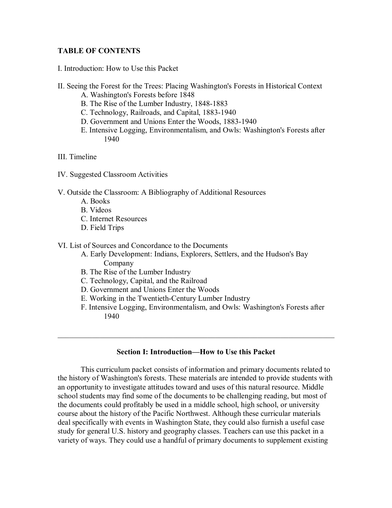# **TABLE OF CONTENTS**

- I. Introduction: How to Use this Packet
- II. Seeing the Forest for the Trees: Placing Washington's Forests in Historical Context
	- A. Washington's Forests before 1848
	- B. The Rise of the Lumber Industry, 1848-1883
	- C. Technology, Railroads, and Capital, 1883-1940
	- D. Government and Unions Enter the Woods, 1883-1940
	- E. Intensive Logging, Environmentalism, and Owls: Washington's Forests after 1940
- III. Timeline
- IV. Suggested Classroom Activities
- V. Outside the Classroom: A Bibliography of Additional Resources
	- A. Books
	- B. Videos
	- C. Internet Resources
	- D. Field Trips

### VI. List of Sources and Concordance to the Documents

- A. Early Development: Indians, Explorers, Settlers, and the Hudson's Bay Company
- B. The Rise of the Lumber Industry
- C. Technology, Capital, and the Railroad
- D. Government and Unions Enter the Woods
- E. Working in the Twentieth-Century Lumber Industry
- F. Intensive Logging, Environmentalism, and Owls: Washington's Forests after 1940

 $\mathcal{L}_\text{G}$  , and the contribution of the contribution of the contribution of the contribution of the contribution of the contribution of the contribution of the contribution of the contribution of the contribution of t

# **Section I: Introduction—How to Use this Packet**

This curriculum packet consists of information and primary documents related to the history of Washington's forests. These materials are intended to provide students with an opportunity to investigate attitudes toward and uses of this natural resource. Middle school students may find some of the documents to be challenging reading, but most of the documents could profitably be used in a middle school, high school, or university course about the history of the Pacific Northwest. Although these curricular materials deal specifically with events in Washington State, they could also furnish a useful case study for general U.S. history and geography classes. Teachers can use this packet in a variety of ways. They could use a handful of primary documents to supplement existing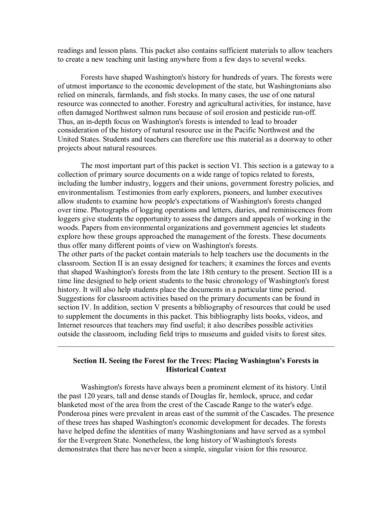readings and lesson plans. This packet also contains sufficient materials to allow teachers to create a new teaching unit lasting anywhere from a few days to several weeks.

Forests have shaped Washington's history for hundreds of years. The forests were of utmost importance to the economic development of the state, but Washingtonians also relied on minerals, farmlands, and fish stocks. In many cases, the use of one natural resource was connected to another. Forestry and agricultural activities, for instance, have often damaged Northwest salmon runs because of soil erosion and pesticide run-off. Thus, an in-depth focus on Washington's forests is intended to lead to broader consideration of the history of natural resource use in the Pacific Northwest and the United States. Students and teachers can therefore use this material as a doorway to other projects about natural resources.

The most important part of this packet is section VI. This section is a gateway to a collection of primary source documents on a wide range of topics related to forests, including the lumber industry, loggers and their unions, government forestry policies, and environmentalism. Testimonies from early explorers, pioneers, and lumber executives allow students to examine how people's expectations of Washington's forests changed over time. Photographs of logging operations and letters, diaries, and reminiscences from loggers give students the opportunity to assess the dangers and appeals of working in the woods. Papers from environmental organizations and government agencies let students explore how these groups approached the management of the forests. These documents thus offer many different points of view on Washington's forests. The other parts of the packet contain materials to help teachers use the documents in the classroom. Section II is an essay designed for teachers; it examines the forces and events that shaped Washington's forests from the late 18th century to the present. Section III is a time line designed to help orient students to the basic chronology of Washington's forest history. It will also help students place the documents in a particular time period. Suggestions for classroom activities based on the primary documents can be found in section IV. In addition, section V presents a bibliography of resources that could be used

to supplement the documents in this packet. This bibliography lists books, videos, and Internet resources that teachers may find useful; it also describes possible activities outside the classroom, including field trips to museums and guided visits to forest sites.

# **Section II. Seeing the Forest for the Trees: Placing Washington's Forests in Historical Context**

 $\frac{1}{2}$  ,  $\frac{1}{2}$  ,  $\frac{1}{2}$  ,  $\frac{1}{2}$  ,  $\frac{1}{2}$  ,  $\frac{1}{2}$  ,  $\frac{1}{2}$  ,  $\frac{1}{2}$  ,  $\frac{1}{2}$  ,  $\frac{1}{2}$  ,  $\frac{1}{2}$  ,  $\frac{1}{2}$  ,  $\frac{1}{2}$  ,  $\frac{1}{2}$  ,  $\frac{1}{2}$  ,  $\frac{1}{2}$  ,  $\frac{1}{2}$  ,  $\frac{1}{2}$  ,  $\frac{1$ 

Washington's forests have always been a prominent element of its history. Until the past 120 years, tall and dense stands of Douglas fir, hemlock, spruce, and cedar blanketed most of the area from the crest of the Cascade Range to the water's edge. Ponderosa pines were prevalent in areas east of the summit of the Cascades. The presence of these trees has shaped Washington's economic development for decades. The forests have helped define the identities of many Washingtonians and have served as a symbol for the Evergreen State. Nonetheless, the long history of Washington's forests demonstrates that there has never been a simple, singular vision for this resource.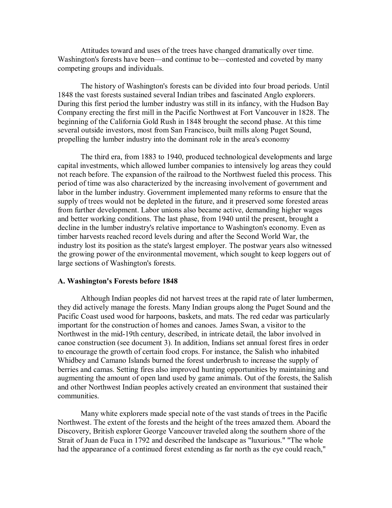Attitudes toward and uses of the trees have changed dramatically over time. Washington's forests have been—and continue to be—contested and coveted by many competing groups and individuals.

The history of Washington's forests can be divided into four broad periods. Until 1848 the vast forests sustained several Indian tribes and fascinated Anglo explorers. During this first period the lumber industry was still in its infancy, with the Hudson Bay Company erecting the first mill in the Pacific Northwest at Fort Vancouver in 1828. The beginning of the California Gold Rush in 1848 brought the second phase. At this time several outside investors, most from San Francisco, built mills along Puget Sound, propelling the lumber industry into the dominant role in the area's economy

The third era, from 1883 to 1940, produced technological developments and large capital investments, which allowed lumber companies to intensively log areas they could not reach before. The expansion of the railroad to the Northwest fueled this process. This period of time was also characterized by the increasing involvement of government and labor in the lumber industry. Government implemented many reforms to ensure that the supply of trees would not be depleted in the future, and it preserved some forested areas from further development. Labor unions also became active, demanding higher wages and better working conditions. The last phase, from 1940 until the present, brought a decline in the lumber industry's relative importance to Washington's economy. Even as timber harvests reached record levels during and after the Second World War, the industry lost its position as the state's largest employer. The postwar years also witnessed the growing power of the environmental movement, which sought to keep loggers out of large sections of Washington's forests.

#### **A. Washington's Forests before 1848**

Although Indian peoples did not harvest trees at the rapid rate of later lumbermen, they did actively manage the forests. Many Indian groups along the Puget Sound and the Pacific Coast used wood for harpoons, baskets, and mats. The red cedar was particularly important for the construction of homes and canoes. James Swan, a visitor to the Northwest in the mid-19th century, described, in intricate detail, the labor involved in canoe construction (see document 3). In addition, Indians set annual forest fires in order to encourage the growth of certain food crops. For instance, the Salish who inhabited Whidbey and Camano Islands burned the forest underbrush to increase the supply of berries and camas. Setting fires also improved hunting opportunities by maintaining and augmenting the amount of open land used by game animals. Out of the forests, the Salish and other Northwest Indian peoples actively created an environment that sustained their communities.

Many white explorers made special note of the vast stands of trees in the Pacific Northwest. The extent of the forests and the height of the trees amazed them. Aboard the Discovery, British explorer George Vancouver traveled along the southern shore of the Strait of Juan de Fuca in 1792 and described the landscape as "luxurious." "The whole had the appearance of a continued forest extending as far north as the eye could reach,"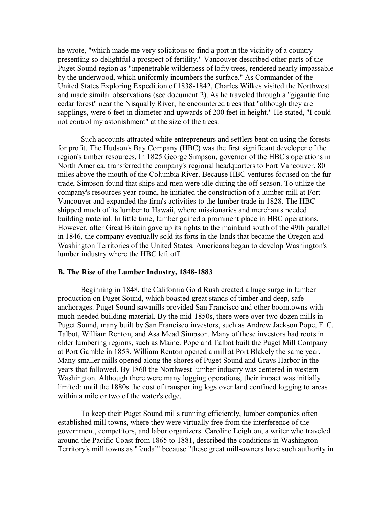he wrote, "which made me very solicitous to find a port in the vicinity of a country presenting so delightful a prospect of fertility." Vancouver described other parts of the Puget Sound region as "inpenetrable wilderness of lofty trees, rendered nearly impassable by the underwood, which uniformly incumbers the surface." As Commander of the United States Exploring Expedition of 1838-1842, Charles Wilkes visited the Northwest and made similar observations (see document 2). As he traveled through a "gigantic fine cedar forest" near the Nisqually River, he encountered trees that "although they are sapplings, were 6 feet in diameter and upwards of 200 feet in height." He stated, "I could not control my astonishment" at the size of the trees.

Such accounts attracted white entrepreneurs and settlers bent on using the forests for profit. The Hudson's Bay Company (HBC) was the first significant developer of the region's timber resources. In 1825 George Simpson, governor of the HBC's operations in North America, transferred the company's regional headquarters to Fort Vancouver, 80 miles above the mouth of the Columbia River. Because HBC ventures focused on the fur trade, Simpson found that ships and men were idle during the off-season. To utilize the company's resources year-round, he initiated the construction of a lumber mill at Fort Vancouver and expanded the firm's activities to the lumber trade in 1828. The HBC shipped much of its lumber to Hawaii, where missionaries and merchants needed building material. In little time, lumber gained a prominent place in HBC operations. However, after Great Britain gave up its rights to the mainland south of the 49th parallel in 1846, the company eventually sold its forts in the lands that became the Oregon and Washington Territories of the United States. Americans began to develop Washington's lumber industry where the HBC left off.

### **B.** The Rise of the Lumber Industry, 1848-1883

Beginning in 1848, the California Gold Rush created a huge surge in lumber production on Puget Sound, which boasted great stands of timber and deep, safe anchorages. Puget Sound sawmills provided San Francisco and other boomtowns with much-needed building material. By the mid-1850s, there were over two dozen mills in Puget Sound, many built by San Francisco investors, such as Andrew Jackson Pope, F. C. Talbot, William Renton, and Asa Mead Simpson. Many of these investors had roots in older lumbering regions, such as Maine. Pope and Talbot built the Puget Mill Company at Port Gamble in 1853. William Renton opened a mill at Port Blakely the same year. Many smaller mills opened along the shores of Puget Sound and Grays Harbor in the years that followed. By 1860 the Northwest lumber industry was centered in western Washington. Although there were many logging operations, their impact was initially limited: until the 1880s the cost of transporting logs over land confined logging to areas within a mile or two of the water's edge.

To keep their Puget Sound mills running efficiently, lumber companies often established mill towns, where they were virtually free from the interference of the government, competitors, and labor organizers. Caroline Leighton, a writer who traveled around the Pacific Coast from 1865 to 1881, described the conditions in Washington Territory's mill towns as "feudal" because "these great mill-owners have such authority in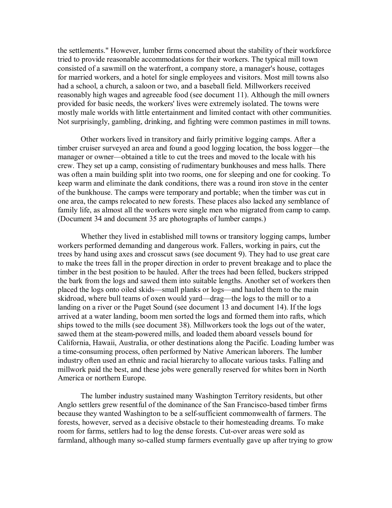the settlements." However, lumber firms concerned about the stability of their workforce tried to provide reasonable accommodations for their workers. The typical mill town consisted of a sawmill on the waterfront, a company store, a manager's house, cottages for married workers, and a hotel for single employees and visitors. Most mill towns also had a school, a church, a saloon or two, and a baseball field. Millworkers received reasonably high wages and agreeable food (see document 11). Although the mill owners provided for basic needs, the workers' lives were extremely isolated. The towns were mostly male worlds with little entertainment and limited contact with other communities. Not surprisingly, gambling, drinking, and fighting were common pastimes in mill towns.

Other workers lived in transitory and fairly primitive logging camps. After a timber cruiser surveyed an area and found a good logging location, the boss logger—the manager or owner—obtained a title to cut the trees and moved to the locale with his crew. They set up a camp, consisting of rudimentary bunkhouses and mess halls. There was often a main building split into two rooms, one for sleeping and one for cooking. To keep warm and eliminate the dank conditions, there was a round iron stove in the center of the bunkhouse. The camps were temporary and portable; when the timber was cut in one area, the camps relocated to new forests. These places also lacked any semblance of family life, as almost all the workers were single men who migrated from camp to camp. (Document 34 and document 35 are photographs of lumber camps.)

Whether they lived in established mill towns or transitory logging camps, lumber workers performed demanding and dangerous work. Fallers, working in pairs, cut the trees by hand using axes and crosscut saws (see document 9). They had to use great care to make the trees fall in the proper direction in order to prevent breakage and to place the timber in the best position to be hauled. After the trees had been felled, buckers stripped the bark from the logs and sawed them into suitable lengths. Another set of workers then placed the logs onto oiled skids—small planks or logs—and hauled them to the main skidroad, where bull teams of oxen would yard—drag—the logs to the mill or to a landing on a river or the Puget Sound (see document 13 and document 14). If the logs arrived at a water landing, boom men sorted the logs and formed them into rafts, which ships towed to the mills (see document 38). Millworkers took the logs out of the water, sawed them at the steam-powered mills, and loaded them aboard vessels bound for California, Hawaii, Australia, or other destinations along the Pacific. Loading lumber was a time-consuming process, often performed by Native American laborers. The lumber industry often used an ethnic and racial hierarchy to allocate various tasks. Falling and millwork paid the best, and these jobs were generally reserved for whites born in North America or northern Europe.

The lumber industry sustained many Washington Territory residents, but other Anglo settlers grew resentful of the dominance of the San Francisco-based timber firms because they wanted Washington to be a self-sufficient commonwealth of farmers. The forests, however, served as a decisive obstacle to their homesteading dreams. To make room for farms, settlers had to log the dense forests. Cut-over areas were sold as farmland, although many so-called stump farmers eventually gave up after trying to grow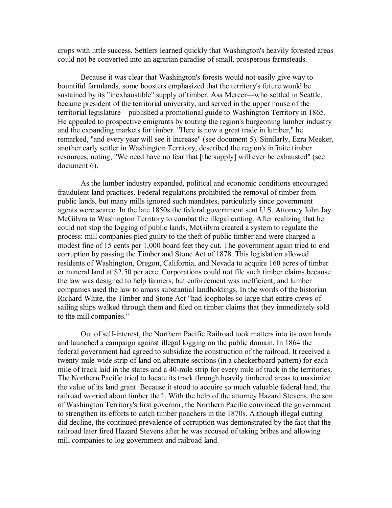crops with little success. Settlers learned quickly that Washington's heavily forested areas could not be converted into an agrarian paradise of small, prosperous farmsteads.

Because it was clear that Washington's forests would not easily give way to bountiful farmlands, some boosters emphasized that the territory's future would be sustained by its "inexhaustible" supply of timber. Asa Mercer—who settled in Seattle, became president of the territorial university, and served in the upper house of the territorial legislature—published a promotional guide to Washington Territory in 1865. He appealed to prospective emigrants by touting the region's burgeoning lumber industry and the expanding markets for timber. "Here is now a great trade in lumber," he remarked, "and every year will see it increase" (see document 5). Similarly, Ezra Meeker, another early settler in Washington Territory, described the region's infinite timber resources, noting, "We need have no fear that [the supply] will ever be exhausted" (see document 6).

As the lumber industry expanded, political and economic conditions encouraged fraudulent land practices. Federal regulations prohibited the removal of timber from public lands, but many mills ignored such mandates, particularly since government agents were scarce. In the late 1850s the federal government sent U.S. Attorney John Jay McGilvra to Washington Territory to combat the illegal cutting. After realizing that he could not stop the logging of public lands, McGilvra created a system to regulate the process: mill companies pled guilty to the theft of public timber and were charged a modest fine of 15 cents per 1,000 board feet they cut. The government again tried to end corruption by passing the Timber and Stone Act of 1878. This legislation allowed residents of Washington, Oregon, California, and Nevada to acquire 160 acres of timber or mineral land at \$2.50 per acre. Corporations could not file such timber claims because the law was designed to help farmers, but enforcement was inefficient, and lumber companies used the law to amass substantial landholdings. In the words of the historian Richard White, the Timber and Stone Act "had loopholes so large that entire crews of sailing ships walked through them and filed on timber claims that they immediately sold to the mill companies."

Out of self-interest, the Northern Pacific Railroad took matters into its own hands and launched a campaign against illegal logging on the public domain. In 1864 the federal government had agreed to subsidize the construction of the railroad. It received a twenty-mile-wide strip of land on alternate sections (in a checkerboard pattern) for each mile of track laid in the states and a 40-mile strip for every mile of track in the territories. The Northern Pacific tried to locate its track through heavily timbered areas to maximize the value of its land grant. Because it stood to acquire so much valuable federal land, the railroad worried about timber theft. With the help of the attorney Hazard Stevens, the son of Washington Territory's first governor, the Northern Pacific convinced the government to strengthen its efforts to catch timber poachers in the 1870s. Although illegal cutting did decline, the continued prevalence of corruption was demonstrated by the fact that the railroad later fired Hazard Stevens after he was accused of taking bribes and allowing mill companies to log government and railroad land.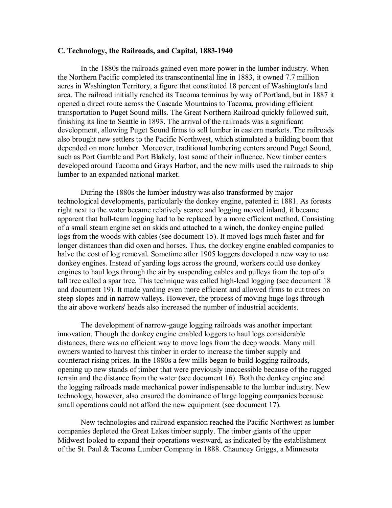### **C. Technology, the Railroads, and Capital, 1883-1940**

In the 1880s the railroads gained even more power in the lumber industry. When the Northern Pacific completed its transcontinental line in 1883, it owned 7.7 million acres in Washington Territory, a figure that constituted 18 percent of Washington's land area. The railroad initially reached its Tacoma terminus by way of Portland, but in 1887 it opened a direct route across the Cascade Mountains to Tacoma, providing efficient transportation to Puget Sound mills. The Great Northern Railroad quickly followed suit, finishing its line to Seattle in 1893. The arrival of the railroads was a significant development, allowing Puget Sound firms to sell lumber in eastern markets. The railroads also brought new settlers to the Pacific Northwest, which stimulated a building boom that depended on more lumber. Moreover, traditional lumbering centers around Puget Sound, such as Port Gamble and Port Blakely, lost some of their influence. New timber centers developed around Tacoma and Grays Harbor, and the new mills used the railroads to ship lumber to an expanded national market.

During the 1880s the lumber industry was also transformed by major technological developments, particularly the donkey engine, patented in 1881. As forests right next to the water became relatively scarce and logging moved inland, it became apparent that bull-team logging had to be replaced by a more efficient method. Consisting of a small steam engine set on skids and attached to a winch, the donkey engine pulled logs from the woods with cables (see document 15). It moved logs much faster and for longer distances than did oxen and horses. Thus, the donkey engine enabled companies to halve the cost of log removal. Sometime after 1905 loggers developed a new way to use donkey engines. Instead of yarding logs across the ground, workers could use donkey engines to haul logs through the air by suspending cables and pulleys from the top of a tall tree called a spar tree. This technique was called high-lead logging (see document 18) and document 19). It made yarding even more efficient and allowed firms to cut trees on steep slopes and in narrow valleys. However, the process of moving huge logs through the air above workers' heads also increased the number of industrial accidents.

The development of narrow-gauge logging railroads was another important innovation. Though the donkey engine enabled loggers to haul logs considerable distances, there was no efficient way to move logs from the deep woods. Many mill owners wanted to harvest this timber in order to increase the timber supply and counteract rising prices. In the 1880s a few mills began to build logging railroads, opening up new stands of timber that were previously inaccessible because of the rugged terrain and the distance from the water (see document 16). Both the donkey engine and the logging railroads made mechanical power indispensable to the lumber industry. New technology, however, also ensured the dominance of large logging companies because small operations could not afford the new equipment (see document 17).

New technologies and railroad expansion reached the Pacific Northwest as lumber companies depleted the Great Lakes timber supply. The timber giants of the upper Midwest looked to expand their operations westward, as indicated by the establishment of the St. Paul & Tacoma Lumber Company in 1888. Chauncey Griggs, a Minnesota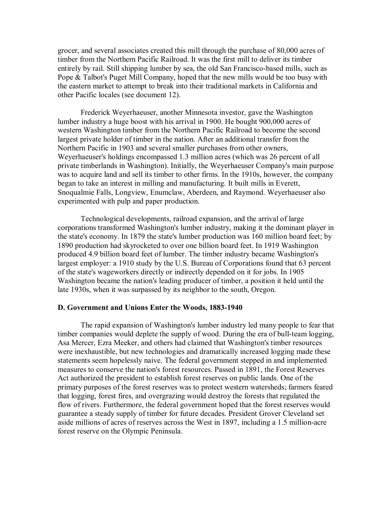grocer, and several associates created this mill through the purchase of 80,000 acres of timber from the Northern Pacific Railroad. It was the first mill to deliver its timber entirely by rail. Still shipping lumber by sea, the old San Francisco-based mills, such as Pope & Talbot's Puget Mill Company, hoped that the new mills would be too busy with the eastern market to attempt to break into their traditional markets in California and other Pacific locales (see document 12).

Frederick Weyerhaeuser, another Minnesota investor, gave the Washington lumber industry a huge boost with his arrival in 1900. He bought 900,000 acres of western Washington timber from the Northern Pacific Railroad to become the second largest private holder of timber in the nation. After an additional transfer from the Northern Pacific in 1903 and several smaller purchases from other owners, Weyerhaeuser's holdings encompassed 1.3 million acres (which was 26 percent of all private timberlands in Washington). Initially, the Weyerhaeuser Company's main purpose was to acquire land and sell its timber to other firms. In the 1910s, however, the company began to take an interest in milling and manufacturing. It built mills in Everett, Snoqualmie Falls, Longview, Enumclaw, Aberdeen, and Raymond. Weyerhaeuser also experimented with pulp and paper production.

Technological developments, railroad expansion, and the arrival of large corporations transformed Washington's lumber industry, making it the dominant player in the state's economy. In 1879 the state's lumber production was 160 million board feet; by 1890 production had skyrocketed to over one billion board feet. In 1919 Washington produced 4.9 billion board feet of lumber. The timber industry became Washington's largest employer: a 1910 study by the U.S. Bureau of Corporations found that 63 percent of the state's wageworkers directly or indirectly depended on it for jobs. In 1905 Washington became the nation's leading producer of timber, a position it held until the late 1930s, when it was surpassed by its neighbor to the south, Oregon.

### **D.** Government and Unions Enter the Woods, 1883-1940

The rapid expansion of Washington's lumber industry led many people to fear that timber companies would deplete the supply of wood. During the era of bull-team logging, Asa Mercer, Ezra Meeker, and others had claimed that Washington's timber resources were inexhaustible, but new technologies and dramatically increased logging made these statements seem hopelessly naive. The federal government stepped in and implemented measures to conserve the nation's forest resources. Passed in 1891, the Forest Reserves Act authorized the president to establish forest reserves on public lands. One of the primary purposes of the forest reserves was to protect western watersheds; farmers feared that logging, forest fires, and overgrazing would destroy the forests that regulated the flow of rivers. Furthermore, the federal government hoped that the forest reserves would guarantee a steady supply of timber for future decades. President Grover Cleveland set aside millions of acres of reserves across the West in 1897, including a 1.5 million-acre forest reserve on the Olympic Peninsula.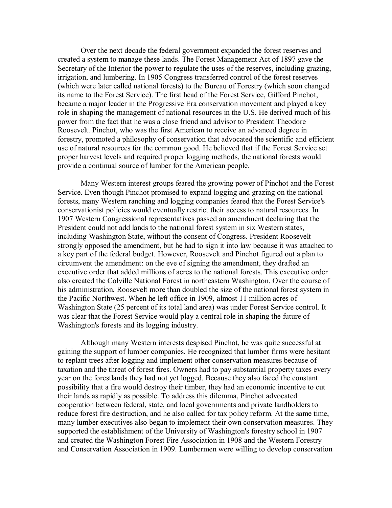Over the next decade the federal government expanded the forest reserves and created a system to manage these lands. The Forest Management Act of 1897 gave the Secretary of the Interior the power to regulate the uses of the reserves, including grazing, irrigation, and lumbering. In 1905 Congress transferred control of the forest reserves (which were later called national forests) to the Bureau of Forestry (which soon changed its name to the Forest Service). The first head of the Forest Service, Gifford Pinchot, became a major leader in the Progressive Era conservation movement and played a key role in shaping the management of national resources in the U.S. He derived much of his power from the fact that he was a close friend and advisor to President Theodore Roosevelt. Pinchot, who was the first American to receive an advanced degree in forestry, promoted a philosophy of conservation that advocated the scientific and efficient use of natural resources for the common good. He believed that if the Forest Service set proper harvest levels and required proper logging methods, the national forests would provide a continual source of lumber for the American people.

Many Western interest groups feared the growing power of Pinchot and the Forest Service. Even though Pinchot promised to expand logging and grazing on the national forests, many Western ranching and logging companies feared that the Forest Service's conservationist policies would eventually restrict their access to natural resources. In 1907 Western Congressional representatives passed an amendment declaring that the President could not add lands to the national forest system in six Western states, including Washington State, without the consent of Congress. President Roosevelt strongly opposed the amendment, but he had to sign it into law because it was attached to a key part of the federal budget. However, Roosevelt and Pinchot figured out a plan to circumvent the amendment: on the eve of signing the amendment, they drafted an executive order that added millions of acres to the national forests. This executive order also created the Colville National Forest in northeastern Washington. Over the course of his administration, Roosevelt more than doubled the size of the national forest system in the Pacific Northwest. When he left office in 1909, almost 11 million acres of Washington State (25 percent of its total land area) was under Forest Service control. It was clear that the Forest Service would play a central role in shaping the future of Washington's forests and its logging industry.

Although many Western interests despised Pinchot, he was quite successful at gaining the support of lumber companies. He recognized that lumber firms were hesitant to replant trees after logging and implement other conservation measures because of taxation and the threat of forest fires. Owners had to pay substantial property taxes every year on the forestlands they had not yet logged. Because they also faced the constant possibility that a fire would destroy their timber, they had an economic incentive to cut their lands as rapidly as possible. To address this dilemma, Pinchot advocated cooperation between federal, state, and local governments and private landholders to reduce forest fire destruction, and he also called for tax policy reform. At the same time, many lumber executives also began to implement their own conservation measures. They supported the establishment of the University of Washington's forestry school in 1907 and created the Washington Forest Fire Association in 1908 and the Western Forestry and Conservation Association in 1909. Lumbermen were willing to develop conservation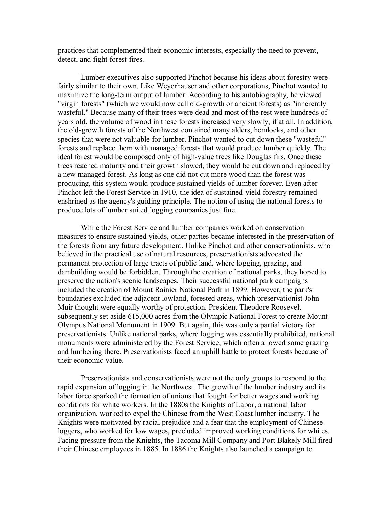practices that complemented their economic interests, especially the need to prevent, detect, and fight forest fires.

Lumber executives also supported Pinchot because his ideas about forestry were fairly similar to their own. Like Weyerhauser and other corporations, Pinchot wanted to maximize the long-term output of lumber. According to his autobiography, he viewed "virgin forests" (which we would now call old-growth or ancient forests) as "inherently wasteful." Because many of their trees were dead and most of the rest were hundreds of years old, the volume of wood in these forests increased very slowly, if at all. In addition, the old-growth forests of the Northwest contained many alders, hemlocks, and other species that were not valuable for lumber. Pinchot wanted to cut down these "wasteful" forests and replace them with managed forests that would produce lumber quickly. The ideal forest would be composed only of high-value trees like Douglas firs. Once these trees reached maturity and their growth slowed, they would be cut down and replaced by a new managed forest. As long as one did not cut more wood than the forest was producing, this system would produce sustained yields of lumber forever. Even after Pinchot left the Forest Service in 1910, the idea of sustained-yield forestry remained enshrined as the agency's guiding principle. The notion of using the national forests to produce lots of lumber suited logging companies just fine.

While the Forest Service and lumber companies worked on conservation measures to ensure sustained yields, other parties became interested in the preservation of the forests from any future development. Unlike Pinchot and other conservationists, who believed in the practical use of natural resources, preservationists advocated the permanent protection of large tracts of public land, where logging, grazing, and dambuilding would be forbidden. Through the creation of national parks, they hoped to preserve the nation's scenic landscapes. Their successful national park campaigns included the creation of Mount Rainier National Park in 1899. However, the park's boundaries excluded the adjacent lowland, forested areas, which preservationist John Muir thought were equally worthy of protection. President Theodore Roosevelt subsequently set aside 615,000 acres from the Olympic National Forest to create Mount Olympus National Monument in 1909. But again, this was only a partial victory for preservationists. Unlike national parks, where logging was essentially prohibited, national monuments were administered by the Forest Service, which often allowed some grazing and lumbering there. Preservationists faced an uphill battle to protect forests because of their economic value.

Preservationists and conservationists were not the only groups to respond to the rapid expansion of logging in the Northwest. The growth of the lumber industry and its labor force sparked the formation of unions that fought for better wages and working conditions for white workers. In the 1880s the Knights of Labor, a national labor organization, worked to expel the Chinese from the West Coast lumber industry. The Knights were motivated by racial prejudice and a fear that the employment of Chinese loggers, who worked for low wages, precluded improved working conditions for whites. Facing pressure from the Knights, the Tacoma Mill Company and Port Blakely Mill fired their Chinese employees in 1885. In 1886 the Knights also launched a campaign to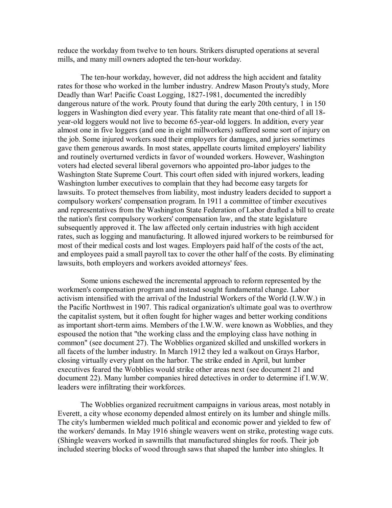reduce the workday from twelve to ten hours. Strikers disrupted operations at several mills, and many mill owners adopted the ten-hour workday.

The ten-hour workday, however, did not address the high accident and fatality rates for those who worked in the lumber industry. Andrew Mason Prouty's study, More Deadly than War! Pacific Coast Logging, 1827-1981, documented the incredibly dangerous nature of the work. Prouty found that during the early 20th century, 1 in 150 loggers in Washington died every year. This fatality rate meant that one-third of all 18year-old loggers would not live to become 65-year-old loggers. In addition, every year almost one in five loggers (and one in eight millworkers) suffered some sort of injury on the job. Some injured workers sued their employers for damages, and juries sometimes gave them generous awards. In most states, appellate courts limited employers' liability and routinely overturned verdicts in favor of wounded workers. However, Washington voters had elected several liberal governors who appointed pro-labor judges to the Washington State Supreme Court. This court often sided with injured workers, leading Washington lumber executives to complain that they had become easy targets for lawsuits. To protect themselves from liability, most industry leaders decided to support a compulsory workers' compensation program. In 1911 a committee of timber executives and representatives from the Washington State Federation of Labor drafted a bill to create the nation's first compulsory workers' compensation law, and the state legislature subsequently approved it. The law affected only certain industries with high accident rates, such as logging and manufacturing. It allowed injured workers to be reimbursed for most of their medical costs and lost wages. Employers paid half of the costs of the act, and employees paid a small payroll tax to cover the other half of the costs. By eliminating lawsuits, both employers and workers avoided attorneys' fees.

Some unions eschewed the incremental approach to reform represented by the workmen's compensation program and instead sought fundamental change. Labor activism intensified with the arrival of the Industrial Workers of the World (I.W.W.) in the Pacific Northwest in 1907. This radical organization's ultimate goal was to overthrow the capitalist system, but it often fought for higher wages and better working conditions as important short-term aims. Members of the I.W.W. were known as Wobblies, and they espoused the notion that "the working class and the employing class have nothing in common" (see document 27). The Wobblies organized skilled and unskilled workers in all facets of the lumber industry. In March 1912 they led a walkout on Grays Harbor, closing virtually every plant on the harbor. The strike ended in April, but lumber executives feared the Wobblies would strike other areas next (see document 21 and document 22). Many lumber companies hired detectives in order to determine if I.W.W. leaders were infiltrating their workforces.

The Wobblies organized recruitment campaigns in various areas, most notably in Everett, a city whose economy depended almost entirely on its lumber and shingle mills. The city's lumbermen wielded much political and economic power and yielded to few of the workers' demands. In May 1916 shingle weavers went on strike, protesting wage cuts. (Shingle weavers worked in sawmills that manufactured shingles for roofs. Their job included steering blocks of wood through saws that shaped the lumber into shingles. It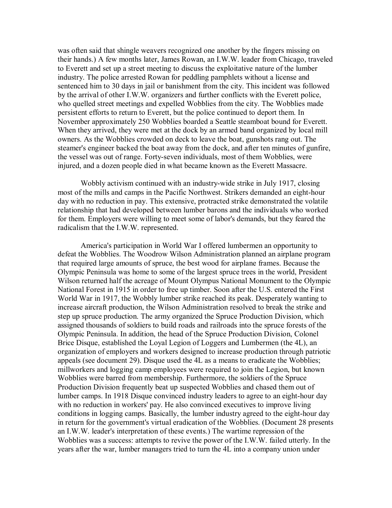was often said that shingle weavers recognized one another by the fingers missing on their hands.) A few months later, James Rowan, an I.W.W. leader from Chicago, traveled to Everett and set up a street meeting to discuss the exploitative nature of the lumber industry. The police arrested Rowan for peddling pamphlets without a license and sentenced him to 30 days in jail or banishment from the city. This incident was followed by the arrival of other I.W.W. organizers and further conflicts with the Everett police, who quelled street meetings and expelled Wobblies from the city. The Wobblies made persistent efforts to return to Everett, but the police continued to deport them. In November approximately 250 Wobblies boarded a Seattle steamboat bound for Everett. When they arrived, they were met at the dock by an armed band organized by local mill owners. As the Wobblies crowded on deck to leave the boat, gunshots rang out. The steamer's engineer backed the boat away from the dock, and after ten minutes of gunfire, the vessel was out of range. Forty-seven individuals, most of them Wobblies, were injured, and a dozen people died in what became known as the Everett Massacre.

Wobbly activism continued with an industry-wide strike in July 1917, closing most of the mills and camps in the Pacific Northwest. Strikers demanded an eight-hour day with no reduction in pay. This extensive, protracted strike demonstrated the volatile relationship that had developed between lumber barons and the individuals who worked for them. Employers were willing to meet some of labor's demands, but they feared the radicalism that the I.W.W. represented.

America's participation in World War I offered lumbermen an opportunity to defeat the Wobblies. The Woodrow Wilson Administration planned an airplane program that required large amounts of spruce, the best wood for airplane frames. Because the Olympic Peninsula was home to some of the largest spruce trees in the world, President Wilson returned half the acreage of Mount Olympus National Monument to the Olympic National Forest in 1915 in order to free up timber. Soon after the U.S. entered the First World War in 1917, the Wobbly lumber strike reached its peak. Desperately wanting to increase aircraft production, the Wilson Administration resolved to break the strike and step up spruce production. The army organized the Spruce Production Division, which assigned thousands of soldiers to build roads and railroads into the spruce forests of the Olympic Peninsula. In addition, the head of the Spruce Production Division, Colonel Brice Disque, established the Loyal Legion of Loggers and Lumbermen (the 4L), an organization of employers and workers designed to increase production through patriotic appeals (see document 29). Disque used the 4L as a means to eradicate the Wobblies; millworkers and logging camp employees were required to join the Legion, but known Wobblies were barred from membership. Furthermore, the soldiers of the Spruce Production Division frequently beat up suspected Wobblies and chased them out of lumber camps. In 1918 Disque convinced industry leaders to agree to an eight-hour day with no reduction in workers' pay. He also convinced executives to improve living conditions in logging camps. Basically, the lumber industry agreed to the eight-hour day in return for the government's virtual eradication of the Wobblies. (Document 28 presents an I.W.W. leader's interpretation of these events.) The wartime repression of the Wobblies was a success: attempts to revive the power of the I.W.W. failed utterly. In the years after the war, lumber managers tried to turn the 4L into a company union under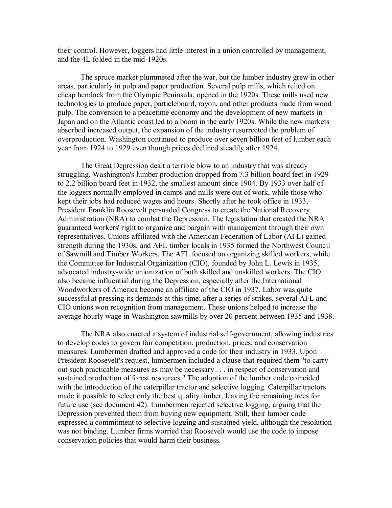their control. However, loggers had little interest in a union controlled by management, and the 4L folded in the mid-1920s.

The spruce market plummeted after the war, but the lumber industry grew in other areas, particularly in pulp and paper production. Several pulp mills, which relied on cheap hemlock from the Olympic Peninsula, opened in the 1920s. These mills used new technologies to produce paper, particleboard, rayon, and other products made from wood pulp. The conversion to a peacetime economy and the development of new markets in Japan and on the Atlantic coast led to a boom in the early 1920s. While the new markets absorbed increased output, the expansion of the industry resurrected the problem of overproduction. Washington continued to produce over seven billion feet of lumber each year from 1924 to 1929 even though prices declined steadily after 1924.

The Great Depression dealt a terrible blow to an industry that was already struggling. Washington's lumber production dropped from 7.3 billion board feet in 1929 to 2.2 billion board feet in 1932, the smallest amount since 1904. By 1933 over half of the loggers normally employed in camps and mills were out of work, while those who kept their jobs had reduced wages and hours. Shortly after he took office in 1933, President Franklin Roosevelt persuaded Congress to create the National Recovery Administration (NRA) to combat the Depression. The legislation that created the NRA guaranteed workers' right to organize and bargain with management through their own representatives. Unions affiliated with the American Federation of Labor (AFL) gained strength during the 1930s, and AFL timber locals in 1935 formed the Northwest Council of Sawmill and Timber Workers. The AFL focused on organizing skilled workers, while the Committee for Industrial Organization (CIO), founded by John L. Lewis in 1935, advocated industry-wide unionization of both skilled and unskilled workers. The CIO also became influential during the Depression, especially after the International Woodworkers of America become an affiliate of the CIO in 1937. Labor was quite successful at pressing its demands at this time; after a series of strikes, several AFL and CIO unions won recognition from management. These unions helped to increase the average hourly wage in Washington sawmills by over 20 percent between 1935 and 1938.

The NRA also enacted a system of industrial self-government, allowing industries to develop codes to govern fair competition, production, prices, and conservation measures. Lumbermen drafted and approved a code for their industry in 1933. Upon President Roosevelt's request, lumbermen included a clause that required them "to carry out such practicable measures as may be necessary . . . in respect of conservation and sustained production of forest resources." The adoption of the lumber code coincided with the introduction of the caterpillar tractor and selective logging. Caterpillar tractors made it possible to select only the best quality timber, leaving the remaining trees for future use (see document 42). Lumbermen rejected selective logging, arguing that the Depression prevented them from buying new equipment. Still, their lumber code expressed a commitment to selective logging and sustained yield, although the resolution was not binding. Lumber firms worried that Roosevelt would use the code to impose conservation policies that would harm their business.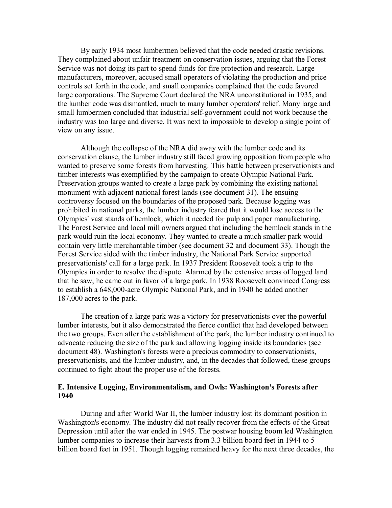By early 1934 most lumbermen believed that the code needed drastic revisions. They complained about unfair treatment on conservation issues, arguing that the Forest Service was not doing its part to spend funds for fire protection and research. Large manufacturers, moreover, accused small operators of violating the production and price controls set forth in the code, and small companies complained that the code favored large corporations. The Supreme Court declared the NRA unconstitutional in 1935, and the lumber code was dismantled, much to many lumber operators' relief. Many large and small lumbermen concluded that industrial self-government could not work because the industry was too large and diverse. It was next to impossible to develop a single point of view on any issue.

Although the collapse of the NRA did away with the lumber code and its conservation clause, the lumber industry still faced growing opposition from people who wanted to preserve some forests from harvesting. This battle between preservationists and timber interests was exemplified by the campaign to create Olympic National Park. Preservation groups wanted to create a large park by combining the existing national monument with adjacent national forest lands (see document 31). The ensuing controversy focused on the boundaries of the proposed park. Because logging was prohibited in national parks, the lumber industry feared that it would lose access to the Olympics' vast stands of hemlock, which it needed for pulp and paper manufacturing. The Forest Service and local mill owners argued that including the hemlock stands in the park would ruin the local economy. They wanted to create a much smaller park would contain very little merchantable timber (see document 32 and document 33). Though the Forest Service sided with the timber industry, the National Park Service supported preservationists' call for a large park. In 1937 President Roosevelt took a trip to the Olympics in order to resolve the dispute. Alarmed by the extensive areas of logged land that he saw, he came out in favor of a large park. In 1938 Roosevelt convinced Congress to establish a 648,000-acre Olympic National Park, and in 1940 he added another 187,000 acres to the park.

The creation of a large park was a victory for preservationists over the powerful lumber interests, but it also demonstrated the fierce conflict that had developed between the two groups. Even after the establishment of the park, the lumber industry continued to advocate reducing the size of the park and allowing logging inside its boundaries (see document 48). Washington's forests were a precious commodity to conservationists, preservationists, and the lumber industry, and, in the decades that followed, these groups continued to fight about the proper use of the forests.

### **E. Intensive Logging, Environmentalism, and Owls: Washington's Forests after 1940**

During and after World War II, the lumber industry lost its dominant position in Washington's economy. The industry did not really recover from the effects of the Great Depression until after the war ended in 1945. The postwar housing boom led Washington lumber companies to increase their harvests from 3.3 billion board feet in 1944 to 5 billion board feet in 1951. Though logging remained heavy for the next three decades, the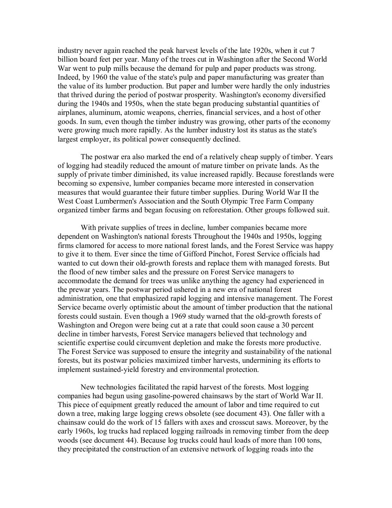industry never again reached the peak harvest levels of the late 1920s, when it cut 7 billion board feet per year. Many of the trees cut in Washington after the Second World War went to pulp mills because the demand for pulp and paper products was strong. Indeed, by 1960 the value of the state's pulp and paper manufacturing was greater than the value of its lumber production. But paper and lumber were hardly the only industries that thrived during the period of postwar prosperity. Washington's economy diversified during the 1940s and 1950s, when the state began producing substantial quantities of airplanes, aluminum, atomic weapons, cherries, financial services, and a host of other goods. In sum, even though the timber industry was growing, other parts of the economy were growing much more rapidly. As the lumber industry lost its status as the state's largest employer, its political power consequently declined.

The postwar era also marked the end of a relatively cheap supply of timber. Years of logging had steadily reduced the amount of mature timber on private lands. As the supply of private timber diminished, its value increased rapidly. Because forestlands were becoming so expensive, lumber companies became more interested in conservation measures that would guarantee their future timber supplies. During World War II the West Coast Lumbermen's Association and the South Olympic Tree Farm Company organized timber farms and began focusing on reforestation. Other groups followed suit.

With private supplies of trees in decline, lumber companies became more dependent on Washington's national forests Throughout the 1940s and 1950s, logging firms clamored for access to more national forest lands, and the Forest Service was happy to give it to them. Ever since the time of Gifford Pinchot, Forest Service officials had wanted to cut down their old-growth forests and replace them with managed forests. But the flood of new timber sales and the pressure on Forest Service managers to accommodate the demand for trees was unlike anything the agency had experienced in the prewar years. The postwar period ushered in a new era of national forest administration, one that emphasized rapid logging and intensive management. The Forest Service became overly optimistic about the amount of timber production that the national forests could sustain. Even though a 1969 study warned that the old-growth forests of Washington and Oregon were being cut at a rate that could soon cause a 30 percent decline in timber harvests, Forest Service managers believed that technology and scientific expertise could circumvent depletion and make the forests more productive. The Forest Service was supposed to ensure the integrity and sustainability of the national forests, but its postwar policies maximized timber harvests, undermining its efforts to implement sustained-yield forestry and environmental protection.

New technologies facilitated the rapid harvest of the forests. Most logging companies had begun using gasoline-powered chainsaws by the start of World War II. This piece of equipment greatly reduced the amount of labor and time required to cut down a tree, making large logging crews obsolete (see document 43). One faller with a chainsaw could do the work of 15 fallers with axes and crosscut saws. Moreover, by the early 1960s, log trucks had replaced logging railroads in removing timber from the deep woods (see document 44). Because log trucks could haul loads of more than 100 tons, they precipitated the construction of an extensive network of logging roads into the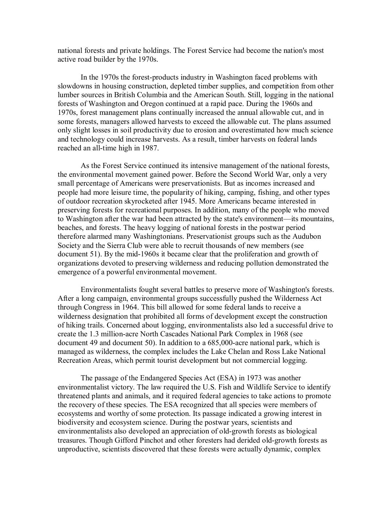national forests and private holdings. The Forest Service had become the nation's most active road builder by the 1970s.

In the 1970s the forest-products industry in Washington faced problems with slowdowns in housing construction, depleted timber supplies, and competition from other lumber sources in British Columbia and the American South. Still, logging in the national forests of Washington and Oregon continued at a rapid pace. During the 1960s and 1970s, forest management plans continually increased the annual allowable cut, and in some forests, managers allowed harvests to exceed the allowable cut. The plans assumed only slight losses in soil productivity due to erosion and overestimated how much science and technology could increase harvests. As a result, timber harvests on federal lands reached an all-time high in 1987.

As the Forest Service continued its intensive management of the national forests, the environmental movement gained power. Before the Second World War, only a very small percentage of Americans were preservationists. But as incomes increased and people had more leisure time, the popularity of hiking, camping, fishing, and other types of outdoor recreation skyrocketed after 1945. More Americans became interested in preserving forests for recreational purposes. In addition, many of the people who moved to Washington after the war had been attracted by the state's environment—its mountains, beaches, and forests. The heavy logging of national forests in the postwar period therefore alarmed many Washingtonians. Preservationist groups such as the Audubon Society and the Sierra Club were able to recruit thousands of new members (see document 51). By the mid-1960s it became clear that the proliferation and growth of organizations devoted to preserving wilderness and reducing pollution demonstrated the emergence of a powerful environmental movement.

Environmentalists fought several battles to preserve more of Washington's forests. After a long campaign, environmental groups successfully pushed the Wilderness Act through Congress in 1964. This bill allowed for some federal lands to receive a wilderness designation that prohibited all forms of development except the construction of hiking trails. Concerned about logging, environmentalists also led a successful drive to create the 1.3 million-acre North Cascades National Park Complex in 1968 (see document 49 and document 50). In addition to a  $685,000$ -acre national park, which is managed as wilderness, the complex includes the Lake Chelan and Ross Lake National Recreation Areas, which permit tourist development but not commercial logging.

The passage of the Endangered Species Act (ESA) in 1973 was another environmentalist victory. The law required the U.S. Fish and Wildlife Service to identify threatened plants and animals, and it required federal agencies to take actions to promote the recovery of these species. The ESA recognized that all species were members of ecosystems and worthy of some protection. Its passage indicated a growing interest in biodiversity and ecosystem science. During the postwar years, scientists and environmentalists also developed an appreciation of old-growth forests as biological treasures. Though Gifford Pinchot and other foresters had derided old-growth forests as unproductive, scientists discovered that these forests were actually dynamic, complex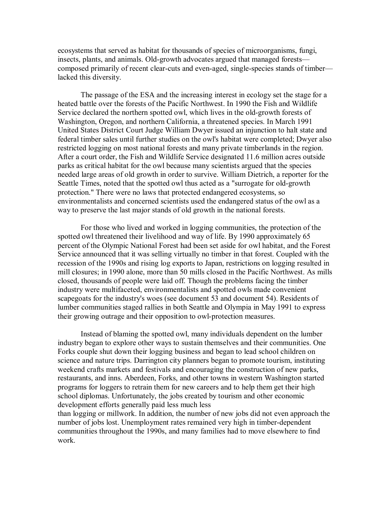ecosystems that served as habitat for thousands of species of microorganisms, fungi, insects, plants, and animals. Old-growth advocates argued that managed forests composed primarily of recent clear-cuts and even-aged, single-species stands of timber lacked this diversity.

The passage of the ESA and the increasing interest in ecology set the stage for a heated battle over the forests of the Pacific Northwest. In 1990 the Fish and Wildlife Service declared the northern spotted owl, which lives in the old-growth forests of Washington, Oregon, and northern California, a threatened species. In March 1991 United States District Court Judge William Dwyer issued an injunction to halt state and federal timber sales until further studies on the owl's habitat were completed; Dwyer also restricted logging on most national forests and many private timberlands in the region. After a court order, the Fish and Wildlife Service designated 11.6 million acres outside parks as critical habitat for the owl because many scientists argued that the species needed large areas of old growth in order to survive. William Dietrich, a reporter for the Seattle Times, noted that the spotted owl thus acted as a "surrogate for old-growth protection." There were no laws that protected endangered ecosystems, so environmentalists and concerned scientists used the endangered status of the owl as a way to preserve the last major stands of old growth in the national forests.

For those who lived and worked in logging communities, the protection of the spotted owl threatened their livelihood and way of life. By 1990 approximately 65 percent of the Olympic National Forest had been set aside for owl habitat, and the Forest Service announced that it was selling virtually no timber in that forest. Coupled with the recession of the 1990s and rising log exports to Japan, restrictions on logging resulted in mill closures; in 1990 alone, more than 50 mills closed in the Pacific Northwest. As mills closed, thousands of people were laid off. Though the problems facing the timber industry were multifaceted, environmentalists and spotted owls made convenient scapegoats for the industry's woes (see document 53 and document 54). Residents of lumber communities staged rallies in both Seattle and Olympia in May 1991 to express their growing outrage and their opposition to owl-protection measures.

Instead of blaming the spotted owl, many individuals dependent on the lumber industry began to explore other ways to sustain themselves and their communities. One Forks couple shut down their logging business and began to lead school children on science and nature trips. Darrington city planners began to promote tourism, instituting weekend crafts markets and festivals and encouraging the construction of new parks, restaurants, and inns. Aberdeen, Forks, and other towns in western Washington started programs for loggers to retrain them fornew careers and to help them get their high school diplomas. Unfortunately, the jobs created by tourism and other economic development efforts generally paid less much less

than logging or millwork. In addition, the number of new jobs did not even approach the number of jobs lost. Unemployment rates remained very high in timber-dependent communities throughout the 1990s, and many families had to move elsewhere to find work.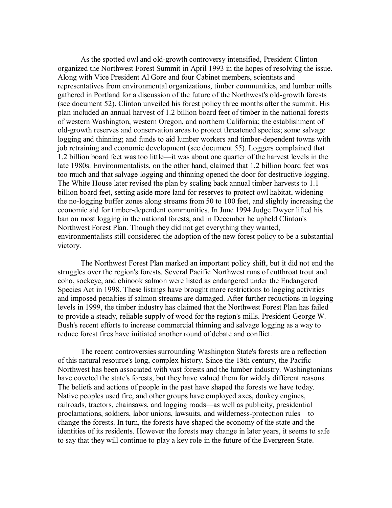As the spotted owl and old-growth controversy intensified, President Clinton organized the Northwest Forest Summit in April 1993 in the hopes of resolving the issue. Along with Vice President Al Gore and four Cabinet members, scientists and representatives from environmental organizations, timber communities, and lumber mills gathered in Portland for a discussion of the future of the Northwest's old-growth forests (see document 52). Clinton unveiled his forest policy three months after the summit. His plan included an annual harvest of 1.2 billion board feet of timber in the national forests of western Washington, western Oregon, and northern California; the establishment of old-growth reserves and conservation areas to protect threatened species; some salvage logging and thinning; and funds to aid lumber workers and timber-dependent towns with job retraining and economic development (see document 55). Loggers complained that 1.2 billion board feet was too little—it was about one quarter of the harvest levels in the late 1980s. Environmentalists, on the other hand, claimed that 1.2 billion board feet was too much and that salvage logging and thinning opened the door for destructive logging. The White House later revised the plan by scaling back annual timber harvests to 1.1 billion board feet, setting aside more land for reserves to protect owl habitat, widening the no-logging buffer zones along streams from 50 to 100 feet, and slightly increasing the economic aid for timber-dependent communities. In June 1994 Judge Dwyer lifted his ban on most logging in the national forests, and in December he upheld Clinton's Northwest Forest Plan. Though they did not get everything they wanted, environmentalists still considered the adoption of the new forest policy to be a substantial victory.

The Northwest Forest Plan marked an important policy shift, but it did not end the struggles over the region's forests. Several Pacific Northwest runs of cutthroat trout and coho, sockeye, and chinook salmon were listed as endangered under the Endangered Species Act in 1998. These listings have brought more restrictions to logging activities and imposed penalties if salmon streams are damaged. After further reductions in logging levels in 1999, the timber industry has claimed that the Northwest Forest Plan has failed to provide a steady, reliable supply of wood for the region's mills. President George W. Bush's recent efforts to increase commercial thinning and salvage logging as a way to reduce forest fires have initiated another round of debate and conflict.

The recent controversies surrounding Washington State's forests are a reflection of this natural resource's long, complex history. Since the 18th century, the Pacific Northwest has been associated with vast forests and the lumber industry. Washingtonians have coveted the state's forests, but they have valued them for widely different reasons. The beliefs and actions of people in the past have shaped the forests we have today. Native peoples used fire, and other groups have employed axes, donkey engines, railroads, tractors, chainsaws, and logging roads—as well as publicity, presidential proclamations, soldiers, labor unions, lawsuits, and wilderness-protection rules—to change the forests. In turn, the forests have shaped the economy of the state and the identities of its residents. However the forests may change in later years, it seems to safe to say that they will continue to play a key role in the future of the Evergreen State.

 $\_$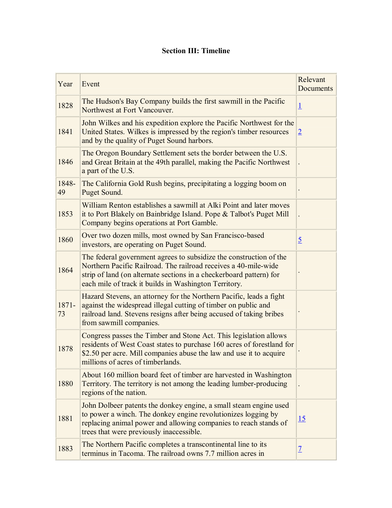# **Section III: Timeline**

| Year        | Event                                                                                                                                                                                                                                                                 | Relevant<br><b>Documents</b> |
|-------------|-----------------------------------------------------------------------------------------------------------------------------------------------------------------------------------------------------------------------------------------------------------------------|------------------------------|
| 1828        | The Hudson's Bay Company builds the first sawmill in the Pacific<br>Northwest at Fort Vancouver.                                                                                                                                                                      | $\overline{1}$               |
| 1841        | John Wilkes and his expedition explore the Pacific Northwest for the<br>United States. Wilkes is impressed by the region's timber resources<br>and by the quality of Puget Sound harbors.                                                                             | $\overline{2}$               |
| 1846        | The Oregon Boundary Settlement sets the border between the U.S.<br>and Great Britain at the 49th parallel, making the Pacific Northwest<br>a part of the U.S.                                                                                                         |                              |
| 1848-<br>49 | The California Gold Rush begins, precipitating a logging boom on<br>Puget Sound.                                                                                                                                                                                      |                              |
| 1853        | William Renton establishes a sawmill at Alki Point and later moves<br>it to Port Blakely on Bainbridge Island. Pope & Talbot's Puget Mill<br>Company begins operations at Port Gamble.                                                                                |                              |
| 1860        | Over two dozen mills, most owned by San Francisco-based<br>investors, are operating on Puget Sound.                                                                                                                                                                   | $\overline{5}$               |
| 1864        | The federal government agrees to subsidize the construction of the<br>Northern Pacific Railroad. The railroad receives a 40-mile-wide<br>strip of land (on alternate sections in a checkerboard pattern) for<br>each mile of track it builds in Washington Territory. |                              |
| 1871-<br>73 | Hazard Stevens, an attorney for the Northern Pacific, leads a fight<br>against the widespread illegal cutting of timber on public and<br>railroad land. Stevens resigns after being accused of taking bribes<br>from sawmill companies.                               |                              |
| 1878        | Congress passes the Timber and Stone Act. This legislation allows<br>residents of West Coast states to purchase 160 acres of forestland for<br>\$2.50 per acre. Mill companies abuse the law and use it to acquire<br>millions of acres of timberlands.               |                              |
| 1880        | About 160 million board feet of timber are harvested in Washington<br>Territory. The territory is not among the leading lumber-producing<br>regions of the nation.                                                                                                    |                              |
| 1881        | John Dolbeer patents the donkey engine, a small steam engine used<br>to power a winch. The donkey engine revolutionizes logging by<br>replacing animal power and allowing companies to reach stands of<br>trees that were previously inaccessible.                    | <u>15</u>                    |
| 1883        | The Northern Pacific completes a transcontinental line to its<br>terminus in Tacoma. The railroad owns 7.7 million acres in                                                                                                                                           | $\overline{1}$               |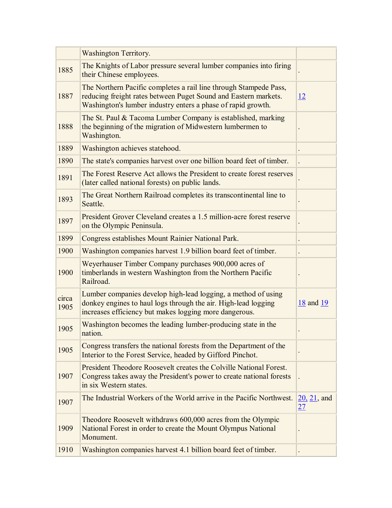|               | <b>Washington Territory.</b>                                                                                                                                                                         |                                  |
|---------------|------------------------------------------------------------------------------------------------------------------------------------------------------------------------------------------------------|----------------------------------|
| 1885          | The Knights of Labor pressure several lumber companies into firing<br>their Chinese employees.                                                                                                       |                                  |
| 1887          | The Northern Pacific completes a rail line through Stampede Pass,<br>reducing freight rates between Puget Sound and Eastern markets.<br>Washington's lumber industry enters a phase of rapid growth. | <u>12</u>                        |
| 1888          | The St. Paul & Tacoma Lumber Company is established, marking<br>the beginning of the migration of Midwestern lumbermen to<br>Washington.                                                             |                                  |
| 1889          | Washington achieves statehood.                                                                                                                                                                       |                                  |
| 1890          | The state's companies harvest over one billion board feet of timber.                                                                                                                                 |                                  |
| 1891          | The Forest Reserve Act allows the President to create forest reserves<br>(later called national forests) on public lands.                                                                            |                                  |
| 1893          | The Great Northern Railroad completes its transcontinental line to<br>Seattle.                                                                                                                       |                                  |
| 1897          | President Grover Cleveland creates a 1.5 million-acre forest reserve<br>on the Olympic Peninsula.                                                                                                    |                                  |
| 1899          | Congress establishes Mount Rainier National Park.                                                                                                                                                    |                                  |
| 1900          | Washington companies harvest 1.9 billion board feet of timber.                                                                                                                                       |                                  |
| 1900          | Weyerhauser Timber Company purchases 900,000 acres of<br>timberlands in western Washington from the Northern Pacific<br>Railroad.                                                                    |                                  |
| circa<br>1905 | Lumber companies develop high-lead logging, a method of using<br>donkey engines to haul logs through the air. High-lead logging<br>increases efficiency but makes logging more dangerous.            | 18 and 19                        |
| 1905          | Washington becomes the leading lumber-producing state in the<br>nation.                                                                                                                              |                                  |
| 1905          | Congress transfers the national forests from the Department of the<br>Interior to the Forest Service, headed by Gifford Pinchot.                                                                     |                                  |
| 1907          | President Theodore Roosevelt creates the Colville National Forest.<br>Congress takes away the President's power to create national forests<br>in six Western states.                                 |                                  |
| 1907          | The Industrial Workers of the World arrive in the Pacific Northwest.                                                                                                                                 | $20, 21,$ and<br>$\overline{27}$ |
| 1909          | Theodore Roosevelt withdraws 600,000 acres from the Olympic<br>National Forest in order to create the Mount Olympus National<br>Monument.                                                            |                                  |
| 1910          | Washington companies harvest 4.1 billion board feet of timber.                                                                                                                                       |                                  |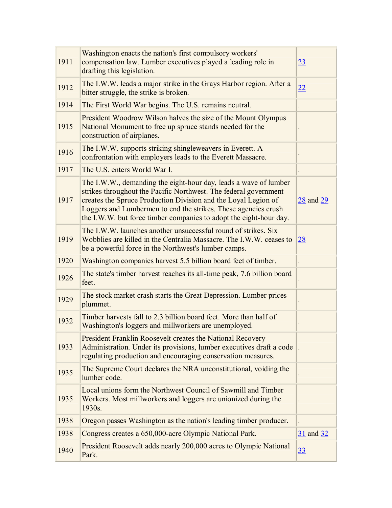| 1911 | Washington enacts the nation's first compulsory workers'<br>compensation law. Lumber executives played a leading role in<br>drafting this legislation.                                                                                                                                                                                         | 23            |
|------|------------------------------------------------------------------------------------------------------------------------------------------------------------------------------------------------------------------------------------------------------------------------------------------------------------------------------------------------|---------------|
| 1912 | The I.W.W. leads a major strike in the Grays Harbor region. After a<br>bitter struggle, the strike is broken.                                                                                                                                                                                                                                  | 22            |
| 1914 | The First World War begins. The U.S. remains neutral.                                                                                                                                                                                                                                                                                          |               |
| 1915 | President Woodrow Wilson halves the size of the Mount Olympus<br>National Monument to free up spruce stands needed for the<br>construction of airplanes.                                                                                                                                                                                       |               |
| 1916 | The I.W.W. supports striking shingleweavers in Everett. A<br>confrontation with employers leads to the Everett Massacre.                                                                                                                                                                                                                       |               |
| 1917 | The U.S. enters World War I.                                                                                                                                                                                                                                                                                                                   |               |
| 1917 | The I.W.W., demanding the eight-hour day, leads a wave of lumber<br>strikes throughout the Pacific Northwest. The federal government<br>creates the Spruce Production Division and the Loyal Legion of<br>Loggers and Lumbermen to end the strikes. These agencies crush<br>the I.W.W. but force timber companies to adopt the eight-hour day. | $28$ and $29$ |
| 1919 | The I.W.W. launches another unsuccessful round of strikes. Six<br>Wobblies are killed in the Centralia Massacre. The I.W.W. ceases to<br>be a powerful force in the Northwest's lumber camps.                                                                                                                                                  | 28            |
| 1920 | Washington companies harvest 5.5 billion board feet of timber.                                                                                                                                                                                                                                                                                 |               |
| 1926 | The state's timber harvest reaches its all-time peak, 7.6 billion board<br>feet.                                                                                                                                                                                                                                                               |               |
| 1929 | The stock market crash starts the Great Depression. Lumber prices<br>plummet.                                                                                                                                                                                                                                                                  |               |
| 1932 | Timber harvests fall to 2.3 billion board feet. More than half of<br>Washington's loggers and millworkers are unemployed.                                                                                                                                                                                                                      |               |
| 1933 | President Franklin Roosevelt creates the National Recovery<br>Administration. Under its provisions, lumber executives draft a code<br>regulating production and encouraging conservation measures.                                                                                                                                             |               |
| 1935 | The Supreme Court declares the NRA unconstitutional, voiding the<br>lumber code.                                                                                                                                                                                                                                                               |               |
| 1935 | Local unions form the Northwest Council of Sawmill and Timber<br>Workers. Most millworkers and loggers are unionized during the<br>1930s.                                                                                                                                                                                                      |               |
| 1938 | Oregon passes Washington as the nation's leading timber producer.                                                                                                                                                                                                                                                                              |               |
| 1938 | Congress creates a 650,000-acre Olympic National Park.                                                                                                                                                                                                                                                                                         | 31 and 32     |
| 1940 | President Roosevelt adds nearly 200,000 acres to Olympic National<br>Park.                                                                                                                                                                                                                                                                     | 33            |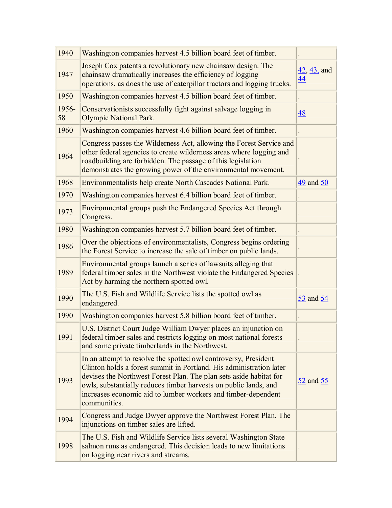| 1940        | Washington companies harvest 4.5 billion board feet of timber.                                                                                                                                                                                                                                                                                                    |                                   |
|-------------|-------------------------------------------------------------------------------------------------------------------------------------------------------------------------------------------------------------------------------------------------------------------------------------------------------------------------------------------------------------------|-----------------------------------|
| 1947        | Joseph Cox patents a revolutionary new chainsaw design. The<br>chainsaw dramatically increases the efficiency of logging<br>operations, as does the use of caterpillar tractors and logging trucks.                                                                                                                                                               | 42, 43, and<br>44                 |
| 1950        | Washington companies harvest 4.5 billion board feet of timber.                                                                                                                                                                                                                                                                                                    |                                   |
| 1956-<br>58 | Conservationists successfully fight against salvage logging in<br><b>Olympic National Park.</b>                                                                                                                                                                                                                                                                   | $\overline{48}$                   |
| 1960        | Washington companies harvest 4.6 billion board feet of timber.                                                                                                                                                                                                                                                                                                    |                                   |
| 1964        | Congress passes the Wilderness Act, allowing the Forest Service and<br>other federal agencies to create wilderness areas where logging and<br>roadbuilding are forbidden. The passage of this legislation<br>demonstrates the growing power of the environmental movement.                                                                                        |                                   |
| 1968        | Environmentalists help create North Cascades National Park.                                                                                                                                                                                                                                                                                                       | $\frac{49}{2}$ and $\frac{50}{2}$ |
| 1970        | Washington companies harvest 6.4 billion board feet of timber.                                                                                                                                                                                                                                                                                                    |                                   |
| 1973        | Environmental groups push the Endangered Species Act through<br>Congress.                                                                                                                                                                                                                                                                                         |                                   |
| 1980        | Washington companies harvest 5.7 billion board feet of timber.                                                                                                                                                                                                                                                                                                    |                                   |
| 1986        | Over the objections of environmentalists, Congress begins ordering<br>the Forest Service to increase the sale of timber on public lands.                                                                                                                                                                                                                          |                                   |
| 1989        | Environmental groups launch a series of lawsuits alleging that<br>federal timber sales in the Northwest violate the Endangered Species<br>Act by harming the northern spotted owl.                                                                                                                                                                                |                                   |
| 1990        | The U.S. Fish and Wildlife Service lists the spotted owl as<br>endangered.                                                                                                                                                                                                                                                                                        | $\frac{53}{ }$ and $\frac{54}{ }$ |
| 1990        | Washington companies harvest 5.8 billion board feet of timber.                                                                                                                                                                                                                                                                                                    |                                   |
| 1991        | U.S. District Court Judge William Dwyer places an injunction on<br>federal timber sales and restricts logging on most national forests<br>and some private timberlands in the Northwest.                                                                                                                                                                          |                                   |
| 1993        | In an attempt to resolve the spotted owl controversy, President<br>Clinton holds a forest summit in Portland. His administration later<br>devises the Northwest Forest Plan. The plan sets aside habitat for<br>owls, substantially reduces timber harvests on public lands, and<br>increases economic aid to lumber workers and timber-dependent<br>communities. | $\frac{52}{2}$ and $\frac{55}{2}$ |
| 1994        | Congress and Judge Dwyer approve the Northwest Forest Plan. The<br>injunctions on timber sales are lifted.                                                                                                                                                                                                                                                        |                                   |
| 1998        | The U.S. Fish and Wildlife Service lists several Washington State<br>salmon runs as endangered. This decision leads to new limitations<br>on logging near rivers and streams.                                                                                                                                                                                     |                                   |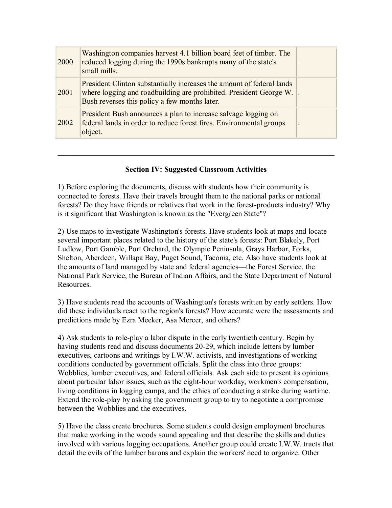| 2000 | Washington companies harvest 4.1 billion board feet of timber. The<br>reduced logging during the 1990s bankrupts many of the state's<br>small mills.                                         |                          |
|------|----------------------------------------------------------------------------------------------------------------------------------------------------------------------------------------------|--------------------------|
| 2001 | President Clinton substantially increases the amount of federal lands<br>where logging and roadbuilding are prohibited. President George W.<br>Bush reverses this policy a few months later. |                          |
| 2002 | President Bush announces a plan to increase salvage logging on<br>federal lands in order to reduce forest fires. Environmental groups<br>object.                                             | $\overline{\phantom{a}}$ |

# **Section IV: Suggested Classroom Activities**

**\_\_\_\_\_\_\_\_\_\_\_\_\_\_\_\_\_\_\_\_\_\_\_\_\_\_\_\_\_\_\_\_\_\_\_\_\_\_\_\_\_\_\_\_\_\_\_\_\_\_\_\_\_\_\_\_\_\_\_\_\_\_\_\_\_\_\_\_\_\_\_\_** 

1) Before exploring the documents, discuss with students how their community is connected to forests. Have their travels brought them to the national parks or national forests? Do they have friends or relatives that work in the forest-products industry? Why is it significant that Washington is known as the "Evergreen State"?

2) Use maps to investigate Washington's forests. Have students look at maps and locate several important places related to the history of the state's forests: Port Blakely, Port Ludlow, Port Gamble, Port Orchard, the Olympic Peninsula, Grays Harbor, Forks, Shelton, Aberdeen, Willapa Bay, Puget Sound, Tacoma, etc. Also have students look at the amounts of land managed by state and federal agencies—the Forest Service, the National Park Service, the Bureau of Indian Affairs, and the State Department of Natural Resources.

3) Have students read the accounts of Washington's forests written by early settlers. How did these individuals react to the region's forests? How accurate were the assessments and predictions made by Ezra Meeker, Asa Mercer, and others?

4) Ask students to roleplay a labor dispute in the early twentieth century. Begin by having students read and discuss documents 20-29, which include letters by lumber executives, cartoons and writings by I.W.W. activists, and investigations of working conditions conducted by government officials. Split the class into three groups: Wobblies, lumber executives, and federal officials. Ask each side to present its opinions about particular labor issues, such as the eight-hour workday, workmen's compensation, living conditions in logging camps, and the ethics of conducting a strike during wartime. Extend the role-play by asking the government group to try to negotiate a compromise between the Wobblies and the executives.

5) Have the class create brochures. Some students could design employment brochures that make working in the woods sound appealing and that describe the skills and duties involved with various logging occupations. Another group could create I.W.W. tracts that detail the evils of the lumber barons and explain the workers' need to organize. Other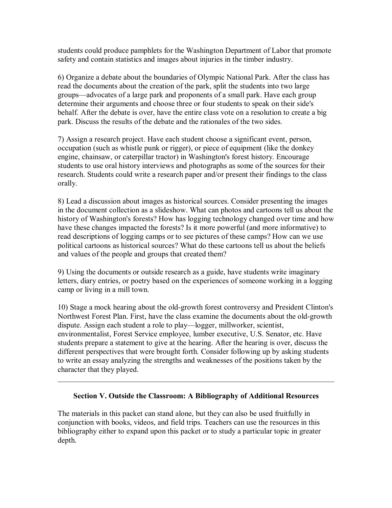students could produce pamphlets for the Washington Department of Labor that promote safety and contain statistics and images about injuries in the timber industry.

6) Organize a debate about the boundaries of Olympic National Park. After the class has read the documents about the creation of the park, split the students into two large groups—advocates of a large park and proponents of a small park. Have each group determine their arguments and choose three or four students to speak on their side's behalf. After the debate is over, have the entire class vote on a resolution to create a big park. Discuss the results of the debate and the rationales of the two sides.

7) Assign a research project. Have each student choose a significant event, person, occupation (such as whistle punk or rigger), or piece of equipment (like the donkey engine, chainsaw, or caterpillar tractor) in Washington's forest history. Encourage students to use oral history interviews and photographs as some of the sources for their research. Students could write a research paper and/or present their findings to the class orally.

8) Lead a discussion about images as historical sources. Consider presenting the images in the document collection as a slideshow. What can photos and cartoons tell us about the history of Washington's forests? How has logging technology changed over time and how have these changes impacted the forests? Is it more powerful (and more informative) to read descriptions of logging camps or to see pictures of these camps? How can we use political cartoons as historical sources? What do these cartoons tell us about the beliefs and values of the people and groups that created them?

9) Using the documents or outside research as a guide, have students write imaginary letters, diary entries, or poetry based on the experiences of someone working in a logging camp or living in a mill town.

10) Stage a mock hearing about the old-growth forest controversy and President Clinton's Northwest Forest Plan. First, have the class examine the documents about the old-growth dispute. Assign each student a role to play—logger, millworker, scientist, environmentalist, Forest Service employee, lumber executive, U.S. Senator, etc. Have students prepare a statement to give at the hearing. After the hearing is over, discuss the different perspectives that were brought forth. Consider following up by asking students to write an essay analyzing the strengths and weaknesses of the positions taken by the character that they played.

# **Section V. Outside the Classroom: A Bibliography of Additional Resources**

 $\mathcal{L}_\text{G}$  , and the contribution of the contribution of the contribution of the contribution of the contribution of the contribution of the contribution of the contribution of the contribution of the contribution of t

The materials in this packet can stand alone, but they can also be used fruitfully in conjunction with books, videos, and field trips. Teachers can use the resources in this bibliography either to expand upon this packet or to study a particular topic in greater depth.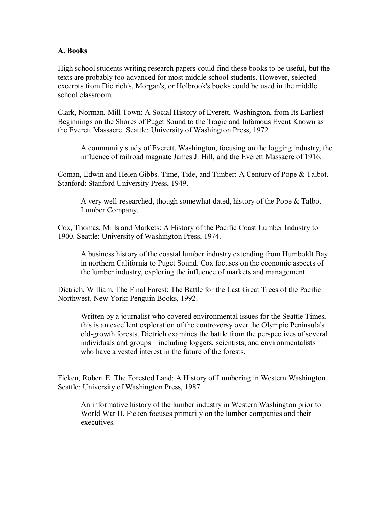### **A. Books**

High school students writing research papers could find these books to be useful, but the texts are probably too advanced for most middle school students. However, selected excerpts from Dietrich's, Morgan's, or Holbrook's books could be used in the middle school classroom.

Clark, Norman. Mill Town: A Social History of Everett, Washington, from Its Earliest Beginnings on the Shores of Puget Sound to the Tragic and Infamous Event Known as the Everett Massacre. Seattle: University of Washington Press, 1972.

A community study of Everett, Washington, focusing on the logging industry, the influence of railroad magnate James J. Hill, and the Everett Massacre of 1916.

Coman, Edwin and Helen Gibbs. Time, Tide, and Timber: A Century of Pope & Talbot. Stanford: Stanford University Press, 1949.

A very well-researched, though somewhat dated, history of the Pope & Talbot Lumber Company.

Cox, Thomas. Mills and Markets: A History of the Pacific Coast Lumber Industry to 1900. Seattle: University of Washington Press, 1974.

A business history of the coastal lumber industry extending from Humboldt Bay in northern California to Puget Sound. Cox focuses on the economic aspects of the lumber industry, exploring the influence of markets and management.

Dietrich, William. The Final Forest: The Battle for the Last Great Trees of the Pacific Northwest. New York: Penguin Books, 1992.

Written by a journalist who covered environmental issues for the Seattle Times, this is an excellent exploration of the controversy over the Olympic Peninsula's old-growth forests. Dietrich examines the battle from the perspectives of several individuals and groups—including loggers, scientists, and environmentalists who have a vested interest in the future of the forests.

Ficken, Robert E. The Forested Land: A History of Lumbering in Western Washington. Seattle: University of Washington Press, 1987.

An informative history of the lumber industry in Western Washington prior to World War II. Ficken focuses primarily on the lumber companies and their executives.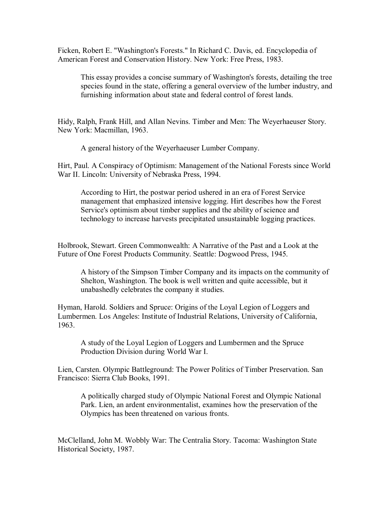Ficken, Robert E. "Washington's Forests." In Richard C. Davis, ed. Encyclopedia of American Forest and Conservation History. New York: Free Press, 1983.

This essay provides a concise summary of Washington's forests, detailing the tree species found in the state, offering a general overview of the lumber industry, and furnishing information about state and federal control of forest lands.

Hidy, Ralph, Frank Hill, and Allan Nevins. Timber and Men: The Weyerhaeuser Story. New York: Macmillan, 1963.

A general history of the Weyerhaeuser Lumber Company.

Hirt, Paul. A Conspiracy of Optimism: Management of the National Forests since World War II. Lincoln: University of Nebraska Press, 1994.

According to Hirt, the postwar period ushered in an era of Forest Service management that emphasized intensive logging. Hirt describes how the Forest Service's optimism about timber supplies and the ability of science and technology to increase harvests precipitated unsustainable logging practices.

Holbrook, Stewart. Green Commonwealth: A Narrative of the Past and a Look at the Future of One Forest Products Community. Seattle: Dogwood Press, 1945.

A history of the Simpson Timber Company and its impacts on the community of Shelton, Washington. The book is well written and quite accessible, but it unabashedly celebrates the company it studies.

Hyman, Harold. Soldiers and Spruce: Origins of the Loyal Legion of Loggers and Lumbermen. Los Angeles: Institute of Industrial Relations, University of California, 1963.

A study of the Loyal Legion of Loggers and Lumbermen and the Spruce Production Division during World War I.

Lien, Carsten. Olympic Battleground: The Power Politics of Timber Preservation. San Francisco: Sierra Club Books, 1991.

A politically charged study of Olympic National Forest and Olympic National Park. Lien, an ardent environmentalist, examines how the preservation of the Olympics has been threatened on various fronts.

McClelland, John M. Wobbly War: The Centralia Story. Tacoma: Washington State Historical Society, 1987.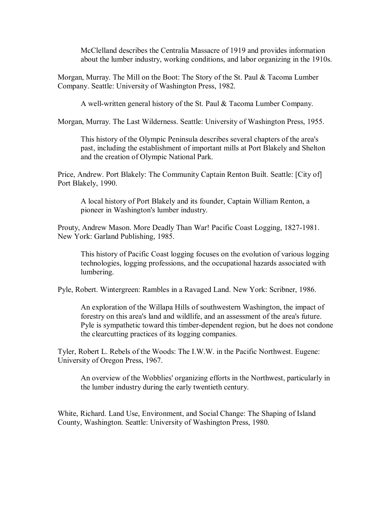McClelland describes the Centralia Massacre of 1919 and provides information about the lumber industry, working conditions, and labor organizing in the 1910s.

Morgan, Murray. The Mill on the Boot: The Story of the St. Paul & Tacoma Lumber Company. Seattle: University of Washington Press, 1982.

A well-written general history of the St. Paul & Tacoma Lumber Company.

Morgan, Murray. The Last Wilderness. Seattle: University of Washington Press, 1955.

This history of the Olympic Peninsula describes several chapters of the area's past, including the establishment of important mills at Port Blakely and Shelton and the creation of Olympic National Park.

Price, Andrew. Port Blakely: The Community Captain Renton Built. Seattle: [City of] Port Blakely, 1990.

A local history of Port Blakely and its founder, Captain William Renton, a pioneer in Washington's lumber industry.

Prouty, Andrew Mason. More Deadly Than War! Pacific Coast Logging, 1827-1981. New York: Garland Publishing, 1985.

This history of Pacific Coast logging focuses on the evolution of various logging technologies, logging professions, and the occupational hazards associated with lumbering.

Pyle, Robert. Wintergreen: Rambles in a Ravaged Land. New York: Scribner, 1986.

An exploration of the Willapa Hills of southwestern Washington, the impact of forestry on this area's land and wildlife, and an assessment of the area's future. Pyle is sympathetic toward this timber-dependent region, but he does not condone the clearcutting practices of its logging companies.

Tyler, Robert L. Rebels of the Woods: The I.W.W. in the Pacific Northwest. Eugene: University of Oregon Press, 1967.

An overview of the Wobblies' organizing efforts in the Northwest, particularly in the lumber industry during the early twentieth century.

White, Richard. Land Use, Environment, and Social Change: The Shaping of Island County, Washington. Seattle: University of Washington Press, 1980.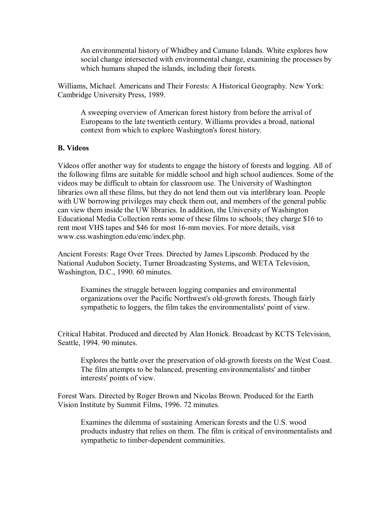An environmental history of Whidbey and Camano Islands. White explores how social change intersected with environmental change, examining the processes by which humans shaped the islands, including their forests.

Williams, Michael. Americans and Their Forests: A Historical Geography. New York: Cambridge University Press, 1989.

A sweeping overview of American forest history from before the arrival of Europeans to the late twentieth century. Williams provides a broad, national context from which to explore Washington's forest history.

# **B. Videos**

Videos offer another way for students to engage the history of forests and logging. All of the following films are suitable for middle school and high school audiences. Some of the videos may be difficult to obtain for classroom use. The University of Washington libraries own all these films, but they do not lend them out via interlibrary loan. People with UW borrowing privileges may check them out, and members of the general public can view them inside the UW libraries. In addition, the University of Washington Educational Media Collection rents some of these films to schools; they charge \$16 to rent most VHS tapes and \$46 for most 16-mm movies. For more details, visit www.css.washington.edu/emc/index.php.

Ancient Forests: Rage Over Trees. Directed by James Lipscomb. Produced by the National Audubon Society, Turner Broadcasting Systems, and WETA Television, Washington, D.C., 1990. 60 minutes.

Examines the struggle between logging companies and environmental organizations over the Pacific Northwest's old-growth forests. Though fairly sympathetic to loggers, the film takes the environmentalists' point of view.

Critical Habitat. Produced and directed by Alan Honick. Broadcast by KCTS Television, Seattle, 1994. 90 minutes.

Explores the battle over the preservation of old-growth forests on the West Coast. The film attempts to be balanced, presenting environmentalists' and timber interests' points of view.

Forest Wars. Directed by Roger Brown and Nicolas Brown. Produced for the Earth Vision Institute by Summit Films, 1996. 72 minutes.

Examines the dilemma of sustaining American forests and the U.S. wood products industry that relies on them. The film is critical of environmentalists and sympathetic to timber-dependent communities.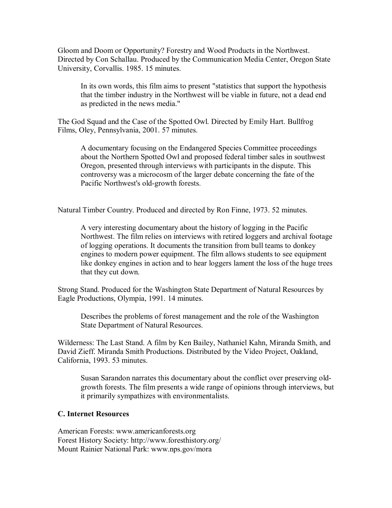Gloom and Doom or Opportunity? Forestry and Wood Products in the Northwest. Directed by Con Schallau. Produced by the Communication Media Center, Oregon State University, Corvallis. 1985. 15 minutes.

In its own words, this film aims to present "statistics that support the hypothesis that the timber industry in the Northwest will be viable in future, not a dead end as predicted in the news media."

The God Squad and the Case of the Spotted Owl. Directed by Emily Hart. Bullfrog Films, Oley, Pennsylvania, 2001. 57 minutes.

A documentary focusing on the Endangered Species Committee proceedings about the Northern Spotted Owl and proposed federal timber sales in southwest Oregon, presented through interviews with participants in the dispute. This controversy was a microcosm of the larger debate concerning the fate of the Pacific Northwest's old-growth forests.

Natural Timber Country. Produced and directed by Ron Finne, 1973. 52 minutes.

A very interesting documentary about the history of logging in the Pacific Northwest. The film relies on interviews with retired loggers and archival footage of logging operations. It documents the transition from bull teams to donkey engines to modern power equipment. The film allows students to see equipment like donkey engines in action and to hear loggers lament the loss of the huge trees that they cut down.

Strong Stand. Produced for the Washington State Department of Natural Resources by Eagle Productions, Olympia, 1991. 14 minutes.

Describes the problems of forest management and the role of the Washington State Department of Natural Resources.

Wilderness: The Last Stand. A film by Ken Bailey, Nathaniel Kahn, Miranda Smith, and David Zieff. Miranda Smith Productions. Distributed by the Video Project, Oakland, California, 1993. 53 minutes.

Susan Sarandon narrates this documentary about the conflict over preserving oldgrowth forests. The film presents a wide range of opinions through interviews, but it primarily sympathizes with environmentalists.

### **C. Internet Resources**

American Forests: www.americanforests.org Forest History Society: http://www.foresthistory.org/ Mount Rainier National Park: www.nps.gov/mora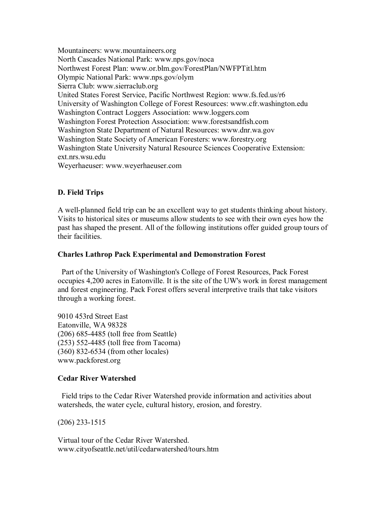Mountaineers: www.mountaineers.org North Cascades National Park: www.nps.gov/noca Northwest Forest Plan: www.or.blm.gov/ForestPlan/NWFPTitl.htm Olympic National Park: www.nps.gov/olym Sierra Club: www.sierraclub.org United States Forest Service, Pacific Northwest Region: www.fs.fed.us/r6 University of Washington College of Forest Resources: www.cfr.washington.edu Washington Contract Loggers Association: www.loggers.com Washington Forest Protection Association: www.forestsandfish.com Washington State Department of Natural Resources: www.dnr.wa.gov Washington State Society of American Foresters: www.forestry.org Washington State University Natural Resource Sciences Cooperative Extension: ext.nrs.wsu.edu Weyerhaeuser: www.weyerhaeuser.com

# **D. Field Trips**

A well-planned field trip can be an excellent way to get students thinking about history. Visits to historical sites or museums allow students to see with their own eyes how the past has shaped the present. All of the following institutions offer guided group tours of their facilities.

# **Charles Lathrop Pack Experimental and Demonstration Forest**

Part of the University of Washington's College of Forest Resources, Pack Forest occupies 4,200 acres in Eatonville. It is the site of the UW's work in forest management and forest engineering. Pack Forest offers several interpretive trails that take visitors through a working forest.

9010 453rd Street East Eatonville, WA 98328 (206) 6854485 (toll free from Seattle) (253) 5524485 (toll free from Tacoma)  $(360)$  832-6534 (from other locales) www.packforest.org

# **Cedar River Watershed**

Field trips to the Cedar River Watershed provide information and activities about watersheds, the water cycle, cultural history, erosion, and forestry.

 $(206)$  233-1515

Virtual tour of the Cedar River Watershed. www.cityofseattle.net/util/cedarwatershed/tours.htm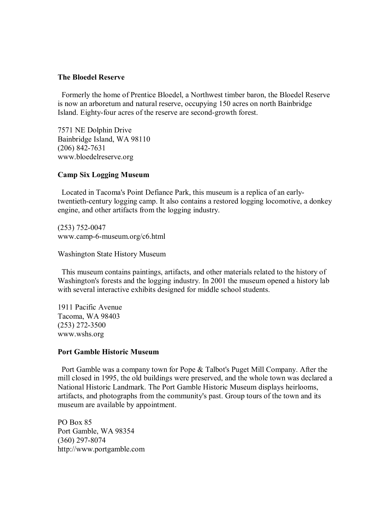### **The Bloedel Reserve**

Formerly the home of Prentice Bloedel, a Northwest timber baron, the Bloedel Reserve is now an arboretum and natural reserve, occupying 150 acres on north Bainbridge Island. Eighty-four acres of the reserve are second-growth forest.

7571 NE Dolphin Drive Bainbridge Island, WA 98110  $(206)$  842-7631 www.bloedelreserve.org

### **Camp Six Logging Museum**

Located in Tacoma's Point Defiance Park, this museum is a replica of an earlytwentieth-century logging camp. It also contains a restored logging locomotive, a donkey engine, and other artifacts from the logging industry.

 $(253)$  752-0047 www.camp-6-museum.org/c6.html

Washington State History Museum

This museum contains paintings, artifacts, and other materials related to the history of Washington's forests and the logging industry. In 2001 the museum opened a history lab with several interactive exhibits designed for middle school students.

1911 Pacific Avenue Tacoma, WA 98403  $(253)$  272-3500 www.wshs.org

# **Port Gamble Historic Museum**

Port Gamble was a company town for Pope & Talbot's Puget Mill Company. After the mill closed in 1995, the old buildings were preserved, and the whole town was declared a National Historic Landmark. The Port Gamble Historic Museum displays heirlooms, artifacts, and photographs from the community's past. Group tours of the town and its museum are available by appointment.

PO Box 85 Port Gamble, WA 98354  $(360)$  297-8074 http://www.portgamble.com